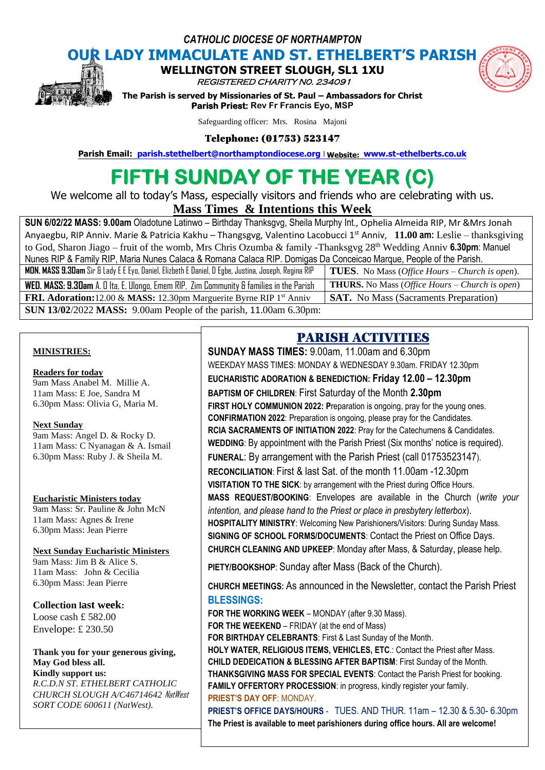*CATHOLIC DIOCESE OF NORTHAMPTON*



**OUR LADY IMMACULATE AND ST. ETHELBERT'S PARISH**

**WELLINGTON STREET SLOUGH, SL1 1XU** 

REGISTERED CHARITY N0. 234091



**The Parish is served by Missionaries of St. Paul – Ambassadors for Christ Parish Priest: Rev Fr Francis Eyo, MSP** 

Safeguarding officer: Mrs. Rosina Majoni

Telephone: (01753) 523147

**Parish Email: [parish.stethelbert@northamptondiocese.org](mailto:parish.stethelbert@northamptondiocese.org)** l **Website: [www.st-ethelberts.co.uk](http://www.st-ethelberts.co.uk/)**

# **FIFTH SUNDAY OF THE YEAR (C)**

We welcome all to today's Mass, especially visitors and friends who are celebrating with us.

**Mass Times & Intentions this Week** 

**SUN 6/02/22 MASS: 9.00am** Oladotune Latinwo – Birthday Thanksgvg, Sheila Murphy Int., Ophelia Almeida RIP, Mr &Mrs Jonah Anyaegbu, RIP Anniv. Marie & Patricia Kakhu – Thangsgvg, Valentino Lacobucci 1 st Anniv, **11.00 am:** Leslie – thanksgiving to God, Sharon Jiago – fruit of the womb, Mrs Chris Ozumba & family -Thanksgvg 28<sup>th</sup> Wedding Anniv 6.30pm: Manuel Nunes RIP & Family RIP, Maria Nunes Calaca & Romana Calaca RIP. Domigas Da Conceicao Marque, People of the Parish. **MON. MASS 9.30am** Sir & Lady E E Eyo, Daniel, Elizbeth E Daniel, D Egbe, Justina, Joseph, Regina RIP **TUES**. No Mass (*Office Hours – Church is open*). **WED. MASS: 9.30am** A. O Ita, E. Ulongo, Emem RIP, Zim Community & families in the Parish **THURS.** No Mass (*Office Hours – Church is open*) **FRI. Adoration:**12.00 & **MASS:** 12.30pm Marguerite Byrne RIP 1<sup>st</sup> Anniv **SAT.** No Mass (Sacraments Preparation) **SUN 13/02**/2022 **MASS:** 9.00am People of the parish, 11.00am 6.30pm:

### **MINISTRIES:**

### **Readers for today**

9am Mass Anabel M. Millie A. 11am Mass: E Joe, Sandra M 6.30pm Mass: Olivia G, Maria M.

### **Next Sunday**

9am Mass: Angel D. & Rocky D. 11am Mass: C Nyanagan & A. Ismail 6.30pm Mass: Ruby J. & Sheila M.

### **Eucharistic Ministers today**

9am Mass: Sr. Pauline & John McN 11am Mass: Agnes & Irene 6.30pm Mass: Jean Pierre

### **Next Sunday Eucharistic Ministers**

9am Mass: Jim B & Alice S. 11am Mass: John & Cecilia 6.30pm Mass: Jean Pierre

### **Collection last week:**

Loose cash £ 582.00 Envelope: £ 230.50

#### **Thank you for your generous giving, May God bless all. Kindly support us:**

*R.C.D.N ST. ETHELBERT CATHOLIC CHURCH SLOUGH A/C46714642* NatWest *SORT CODE 600611 (NatWest).*

# PARISH ACTIVITIES

**SUNDAY MASS TIMES:** 9.00am, 11.00am and 6.30pm WEEKDAY MASS TIMES: MONDAY & WEDNESDAY 9.30am. FRIDAY 12.30pm **EUCHARISTIC ADORATION & BENEDICTION: Friday 12.00 – 12.30pm BAPTISM OF CHILDREN**: First Saturday of the Month **2.30pm FIRST HOLY COMMUNION 2022: P**reparation is ongoing, pray for the young ones. **CONFIRMATION 2022**: Preparation is ongoing, please pray for the Candidates. **RCIA SACRAMENTS OF INITIATION 2022**: Pray for the Catechumens & Candidates. **WEDDING**: By appointment with the Parish Priest (Six months' notice is required). **FUNERAL**: By arrangement with the Parish Priest (call 01753523147). **RECONCILIATION**: First & last Sat. of the month 11.00am -12.30pm **VISITATION TO THE SICK**: by arrangement with the Priest during Office Hours. **MASS REQUEST/BOOKING**: Envelopes are available in the Church (*write your intention, and please hand to the Priest or place in presbytery letterbox*). **HOSPITALITY MINISTRY**: Welcoming New Parishioners/Visitors: During Sunday Mass. **SIGNING OF SCHOOL FORMS/DOCUMENTS**: Contact the Priest on Office Days. **CHURCH CLEANING AND UPKEEP**: Monday after Mass, & Saturday, please help.

**PIETY/BOOKSHOP**: Sunday after Mass (Back of the Church).

**CHURCH MEETINGS:** As announced in the Newsletter, contact the Parish Priest **BLESSINGS:**

**FOR THE WORKING WEEK** – MONDAY (after 9.30 Mass). **FOR THE WEEKEND** – FRIDAY (at the end of Mass) **FOR BIRTHDAY CELEBRANTS**: First & Last Sunday of the Month. **HOLY WATER, RELIGIOUS ITEMS, VEHICLES, ETC**.: Contact the Priest after Mass. **CHILD DEDEICATION & BLESSING AFTER BAPTISM**: First Sunday of the Month. **THANKSGIVING MASS FOR SPECIAL EVENTS**: Contact the Parish Priest for booking. **FAMILY OFFERTORY PROCESSION**: in progress, kindly register your family. **PRIEST'S DAY OFF**: MONDAY.

**SUNDAY READINGS The Priest is available to meet parishioners during office hours. All are welcome!PRIEST'S OFFICE DAYS/HOURS** - TUES. AND THUR. 11am – 12.30 & 5.30- 6.30pm